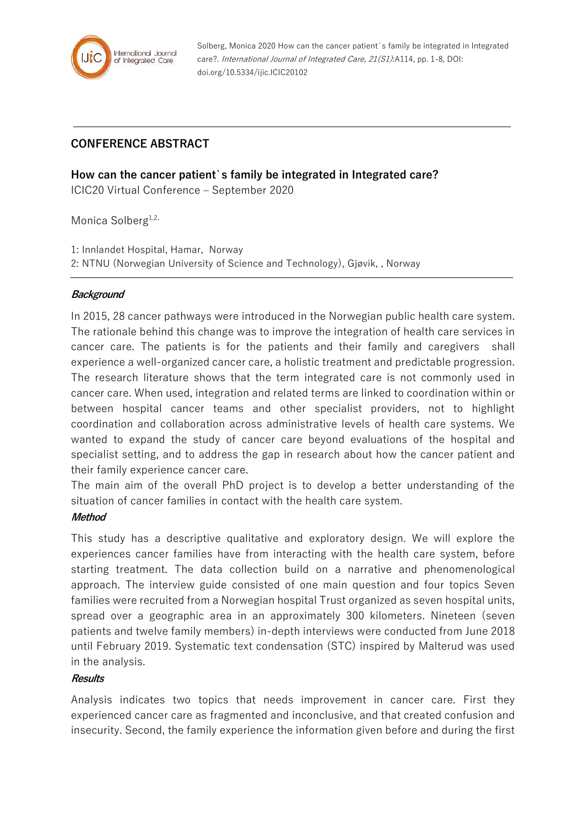

Solberg, Monica 2020 How can the cancer patient`s family be integrated in Integrated care?. International Journal of Integrated Care, 21(S1):A114, pp. 1-8, DOI: doi.org/10.5334/ijic.ICIC20102

# **CONFERENCE ABSTRACT**

**How can the cancer patient`s family be integrated in Integrated care?**

ICIC20 Virtual Conference – September 2020

Monica Solberg<sup>1,2,</sup>

1: Innlandet Hospital, Hamar, Norway 2: NTNU (Norwegian University of Science and Technology), Gjøvik, , Norway

# **Background**

In 2015, 28 cancer pathways were introduced in the Norwegian public health care system. The rationale behind this change was to improve the integration of health care services in cancer care. The patients is for the patients and their family and caregivers shall experience a well-organized cancer care, a holistic treatment and predictable progression. The research literature shows that the term integrated care is not commonly used in cancer care. When used, integration and related terms are linked to coordination within or between hospital cancer teams and other specialist providers, not to highlight coordination and collaboration across administrative levels of health care systems. We wanted to expand the study of cancer care beyond evaluations of the hospital and specialist setting, and to address the gap in research about how the cancer patient and their family experience cancer care.

The main aim of the overall PhD project is to develop a better understanding of the situation of cancer families in contact with the health care system.

# **Method**

This study has a descriptive qualitative and exploratory design. We will explore the experiences cancer families have from interacting with the health care system, before starting treatment. The data collection build on a narrative and phenomenological approach. The interview guide consisted of one main question and four topics Seven families were recruited from a Norwegian hospital Trust organized as seven hospital units, spread over a geographic area in an approximately 300 kilometers. Nineteen (seven patients and twelve family members) in-depth interviews were conducted from June 2018 until February 2019. Systematic text condensation (STC) inspired by Malterud was used in the analysis.

#### **Results**

Analysis indicates two topics that needs improvement in cancer care. First they experienced cancer care as fragmented and inconclusive, and that created confusion and insecurity. Second, the family experience the information given before and during the first